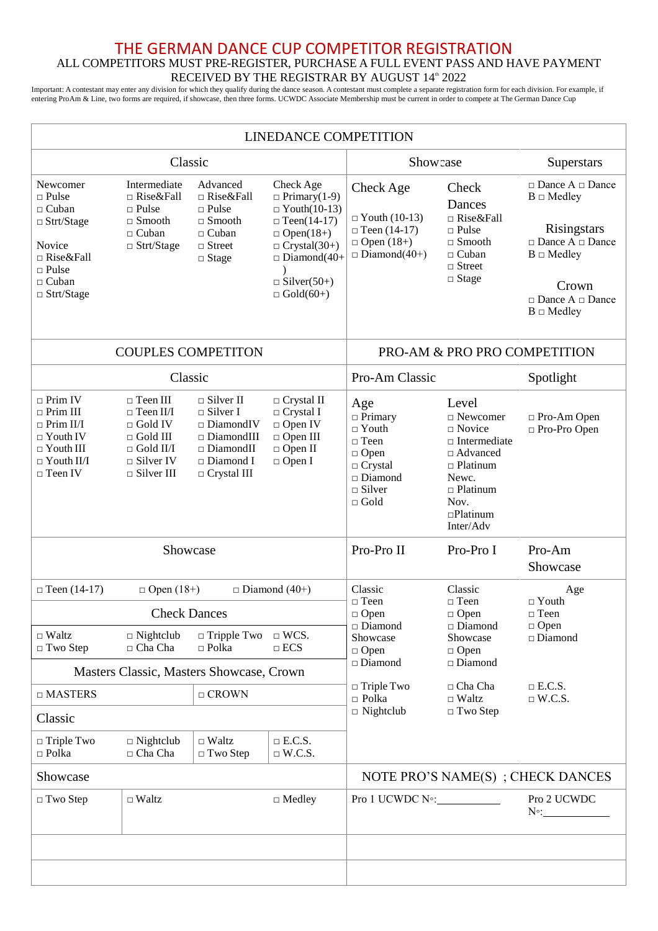## THE GERMAN DANCE CUP COMPETITOR REGISTRATION ALL COMPETITORS MUST PRE-REGISTER, PURCHASE A FULL EVENT PASS AND HAVE PAYMENT RECEIVED BY THE REGISTRAR BY AUGUST 14<sup>th</sup> 2022

Important: A contestant may enter any division for which they qualify during the dance season. A contestant must complete a separate registration form for each division. For example, if entering ProAm & Line, two forms are required, if showcase, then three forms. UCWDC Associate Membership must be current in order to compete at The German Dance Cup

| <b>LINEDANCE COMPETITION</b>                                                                                                                     |                                                                                                                                          |                                                                                                                                                        |                                                                                                                                                                                          |                                                                                                                                               |                                                                                                                                                                       |                                                                                                                                                                                                            |  |  |
|--------------------------------------------------------------------------------------------------------------------------------------------------|------------------------------------------------------------------------------------------------------------------------------------------|--------------------------------------------------------------------------------------------------------------------------------------------------------|------------------------------------------------------------------------------------------------------------------------------------------------------------------------------------------|-----------------------------------------------------------------------------------------------------------------------------------------------|-----------------------------------------------------------------------------------------------------------------------------------------------------------------------|------------------------------------------------------------------------------------------------------------------------------------------------------------------------------------------------------------|--|--|
| Classic                                                                                                                                          |                                                                                                                                          |                                                                                                                                                        |                                                                                                                                                                                          | Show case                                                                                                                                     |                                                                                                                                                                       | Superstars                                                                                                                                                                                                 |  |  |
| Newcomer<br>$\Box$ Pulse<br>$\Box$ Cuban<br>$\Box$ Strt/Stage<br>Novice<br>$\Box$ Rise&Fall<br>$\Box$ Pulse<br>$\Box$ Cuban<br>$\Box$ Strt/Stage | Intermediate<br>$\Box$ Rise&Fall<br>$\Box$ Pulse<br>$\Box$ Smooth<br>$\Box$ Cuban<br>$\Box$ Strt/Stage                                   | Advanced<br>□ Rise&Fall<br>$\Box$ Pulse<br>$\Box$ Smooth<br>$\Box$ Cuban<br>$\Box$ Street<br>$\Box$ Stage                                              | Check Age<br>$\Box$ Primary(1-9)<br>$\Box$ Youth(10-13)<br>$\Box$ Teen(14-17)<br>$\Box$ Open(18+)<br>$\Box$ Crystal(30+)<br>$\Box$ Diamond(40+<br>$\Box$ Silver(50+)<br>$\Box$ Gold(60+) | Check Age<br>$\Box$ Youth (10-13)<br>$\Box$ Teen (14-17)<br>$\Box$ Open (18+)<br>$\Box$ Diamond(40+)                                          | Check<br>Dances<br>□ Rise&Fall<br>$\Box$ Pulse<br>$\Box$ Smooth<br>$\Box$ Cuban<br>$\Box$ Street<br>$\Box$ Stage                                                      | $\Box$ Dance A $\Box$ Dance<br>$\mathbf{B}\ \Box\ \mathbf{Medley}$<br>Risingstars<br>$\Box$ Dance A $\Box$ Dance<br>$B \square$ Medley<br>Crown<br>$\square$ Dance A $\square$ Dance<br>$B \square$ Medley |  |  |
|                                                                                                                                                  |                                                                                                                                          | <b>COUPLES COMPETITON</b>                                                                                                                              | PRO-AM & PRO PRO COMPETITION                                                                                                                                                             |                                                                                                                                               |                                                                                                                                                                       |                                                                                                                                                                                                            |  |  |
| Classic                                                                                                                                          |                                                                                                                                          |                                                                                                                                                        | Pro-Am Classic                                                                                                                                                                           |                                                                                                                                               | Spotlight                                                                                                                                                             |                                                                                                                                                                                                            |  |  |
| $\Box$ Prim IV<br>$\Box$ Prim III<br>$\Box$ Prim II/I<br>$\Box$ Youth IV<br>$\Box$ Youth III<br>$\Box$ Youth II/I<br>$\Box$ Teen IV              | $\Box$ Teen III<br>$\Box$ Teen II/I<br>$\Box$ Gold IV<br>$\Box$ Gold III<br>$\Box$ Gold II/I<br>$\Box$ Silver IV<br>$\square$ Silver III | $\Box$ Silver II<br>$\Box$ Silver I<br>$\square$ DiamondIV<br>$\square$ DiamondIII<br>$\square$ DiamondII<br>$\square$ Diamond I<br>$\Box$ Crystal III | $\Box$ Crystal II<br>$\Box$ Crystal I<br>$\Box$ Open IV<br>$\Box$ Open III<br>$\Box$ Open II<br>$\Box$ Open I                                                                            | Age<br>$\Box$ Primary<br>$\Box$ Youth<br>$\Box$ Teen<br>$\Box$ Open<br>$\Box$ Crystal<br>$\square$ Diamond<br>$\square$ Silver<br>$\Box$ Gold | Level<br>$\Box$ Newcomer<br>$\Box$ Novice<br>$\Box$ Intermediate<br>□ Advanced<br>$\Box$ Platinum<br>Newc.<br>$\Box$ Platinum<br>Nov.<br>$\Box$ Platinum<br>Inter/Adv | □ Pro-Am Open<br>□ Pro-Pro Open                                                                                                                                                                            |  |  |
| Showcase                                                                                                                                         |                                                                                                                                          |                                                                                                                                                        |                                                                                                                                                                                          | Pro-Pro II                                                                                                                                    | Pro-Pro I                                                                                                                                                             | Pro-Am<br>Showcase                                                                                                                                                                                         |  |  |
| $\Box$ Teen (14-17)                                                                                                                              | $\Box$ Diamond (40+)<br>$\Box$ Open (18+)                                                                                                |                                                                                                                                                        |                                                                                                                                                                                          | Classic                                                                                                                                       | Classic                                                                                                                                                               | Age<br>$\Box$ Youth                                                                                                                                                                                        |  |  |
| $\Box$ Waltz<br>$\Box$ Two Step                                                                                                                  | <b>Check Dances</b><br>$\Box$ Nightclub<br>$\Box$ Tripple Two $\Box$ WCS.<br>$\Box$ Cha Cha<br>$\Box$ ECS<br>$\Box$ Polka                |                                                                                                                                                        | $\Box$ Teen<br>$\Box$ Open<br>$\square$ Diamond<br>Showcase<br>$\Box$ Open                                                                                                               | $\Box$ Teen<br>$\Box$ Open<br>$\Box$ Diamond<br>Showcase<br>$\Box$ Open                                                                       | $\sqcap$ Teen<br>$\Box$ Open<br>$\square$ Diamond                                                                                                                     |                                                                                                                                                                                                            |  |  |
|                                                                                                                                                  |                                                                                                                                          | Masters Classic, Masters Showcase, Crown                                                                                                               |                                                                                                                                                                                          | □ Diamond                                                                                                                                     | $\square$ Diamond                                                                                                                                                     |                                                                                                                                                                                                            |  |  |
| $\Box$ MASTERS                                                                                                                                   |                                                                                                                                          | $\Box$ CROWN                                                                                                                                           |                                                                                                                                                                                          | $\Box$ Triple Two<br>$\Box$ Polka                                                                                                             | $\Box$ Cha Cha<br>$\Box$ Waltz                                                                                                                                        | $\Box$ E.C.S.<br>$\Box$ W.C.S.                                                                                                                                                                             |  |  |
| Classic                                                                                                                                          |                                                                                                                                          |                                                                                                                                                        |                                                                                                                                                                                          | $\Box$ Nightclub                                                                                                                              | $\Box$ Two Step                                                                                                                                                       |                                                                                                                                                                                                            |  |  |
| $\Box$ Triple Two<br>$\Box$ Polka                                                                                                                | $\Box$ Nightclub<br>$\Box$ Cha Cha                                                                                                       | $\hfill\Box$ Waltz<br>$\Box$ Two Step                                                                                                                  | $\Box$ E.C.S.<br>$\Box$ W.C.S.                                                                                                                                                           |                                                                                                                                               |                                                                                                                                                                       |                                                                                                                                                                                                            |  |  |
| Showcase                                                                                                                                         |                                                                                                                                          |                                                                                                                                                        | NOTE PRO'S NAME(S) ; CHECK DANCES                                                                                                                                                        |                                                                                                                                               |                                                                                                                                                                       |                                                                                                                                                                                                            |  |  |
| $\Box$ Two Step                                                                                                                                  | $\hfill \Box$ Waltz                                                                                                                      |                                                                                                                                                        | $\Box$ Medley                                                                                                                                                                            | Pro 1 UCWDC N <sup>o</sup> :                                                                                                                  |                                                                                                                                                                       | Pro 2 UCWDC<br>$N^{\circ}$ :                                                                                                                                                                               |  |  |
|                                                                                                                                                  |                                                                                                                                          |                                                                                                                                                        |                                                                                                                                                                                          |                                                                                                                                               |                                                                                                                                                                       |                                                                                                                                                                                                            |  |  |